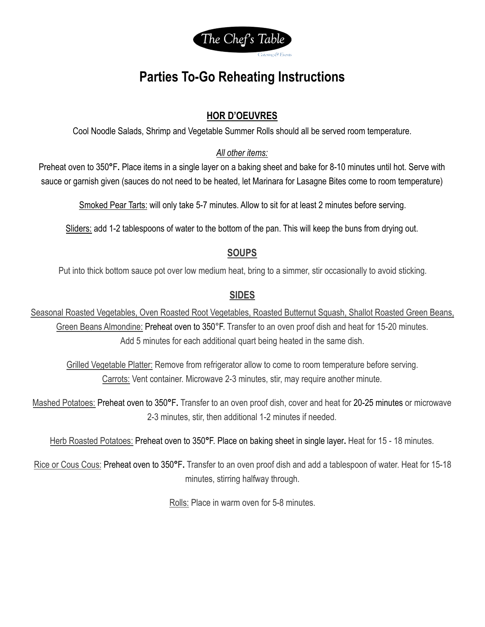

# **Parties To-Go Reheating Instructions**

# **HOR D'OEUVRES**

Cool Noodle Salads, Shrimp and Vegetable Summer Rolls should all be served room temperature.

## *All other items:*

Preheat oven to 350**°**F**.** Place items in a single layer on a baking sheet and bake for 8-10 minutes until hot. Serve with sauce or garnish given (sauces do not need to be heated, let Marinara for Lasagne Bites come to room temperature)

Smoked Pear Tarts: will only take 5-7 minutes. Allow to sit for at least 2 minutes before serving.

Sliders: add 1-2 tablespoons of water to the bottom of the pan. This will keep the buns from drying out.

## **SOUPS**

Put into thick bottom sauce pot over low medium heat, bring to a simmer, stir occasionally to avoid sticking.

## **SIDES**

Seasonal Roasted Vegetables, Oven Roasted Root Vegetables, Roasted Butternut Squash, Shallot Roasted Green Beans, Green Beans Almondine: Preheat oven to 350°F. Transfer to an oven proof dish and heat for 15-20 minutes. Add 5 minutes for each additional quart being heated in the same dish.

Grilled Vegetable Platter: Remove from refrigerator allow to come to room temperature before serving. Carrots: Vent container. Microwave 2-3 minutes, stir, may require another minute.

Mashed Potatoes: Preheat oven to 350**°**F**.** Transfer to an oven proof dish, cover and heat for 20-25 minutes or microwave 2-3 minutes, stir, then additional 1-2 minutes if needed.

Herb Roasted Potatoes: Preheat oven to 350**°**F. Place on baking sheet in single layer**.** Heat for 15 - 18 minutes.

Rice or Cous Cous: Preheat oven to 350**°**F**.** Transfer to an oven proof dish and add a tablespoon of water. Heat for 15-18 minutes, stirring halfway through.

Rolls: Place in warm oven for 5-8 minutes.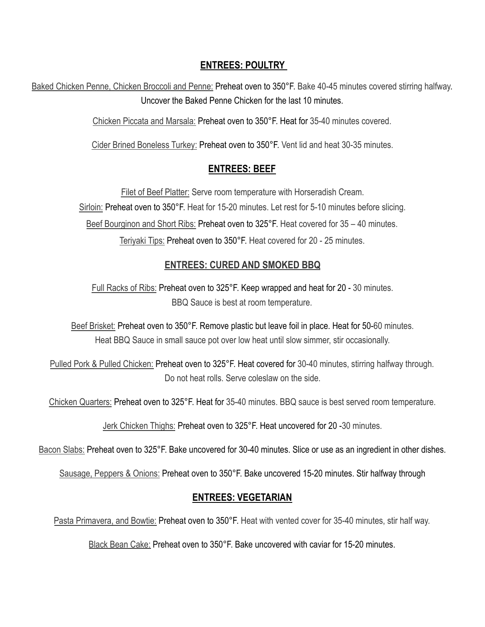## **ENTREES: POULTRY**

Baked Chicken Penne, Chicken Broccoli and Penne: Preheat oven to 350°F. Bake 40-45 minutes covered stirring halfway. Uncover the Baked Penne Chicken for the last 10 minutes.

Chicken Piccata and Marsala: Preheat oven to 350°F. Heat for 35-40 minutes covered.

Cider Brined Boneless Turkey: Preheat oven to 350°F. Vent lid and heat 30-35 minutes.

## **ENTREES: BEEF**

Filet of Beef Platter: Serve room temperature with Horseradish Cream. Sirloin: Preheat oven to 350°F. Heat for 15-20 minutes. Let rest for 5-10 minutes before slicing. Beef Bourginon and Short Ribs: Preheat oven to 325°F. Heat covered for 35 – 40 minutes. Teriyaki Tips: Preheat oven to 350°F. Heat covered for 20 - 25 minutes.

# **ENTREES: CURED AND SMOKED BBQ**

Full Racks of Ribs: Preheat oven to 325°F. Keep wrapped and heat for 20 - 30 minutes. BBQ Sauce is best at room temperature.

Beef Brisket: Preheat oven to 350°F. Remove plastic but leave foil in place. Heat for 50-60 minutes. Heat BBQ Sauce in small sauce pot over low heat until slow simmer, stir occasionally.

Pulled Pork & Pulled Chicken: Preheat oven to 325°F. Heat covered for 30-40 minutes, stirring halfway through. Do not heat rolls. Serve coleslaw on the side.

Chicken Quarters: Preheat oven to 325°F. Heat for 35-40 minutes. BBQ sauce is best served room temperature.

Jerk Chicken Thighs: Preheat oven to 325°F. Heat uncovered for 20 -30 minutes.

Bacon Slabs: Preheat oven to 325°F. Bake uncovered for 30-40 minutes. Slice or use as an ingredient in other dishes.

Sausage, Peppers & Onions: Preheat oven to 350°F. Bake uncovered 15-20 minutes. Stir halfway through

## **ENTREES: VEGETARIAN**

Pasta Primavera, and Bowtie: Preheat oven to 350°F. Heat with vented cover for 35-40 minutes, stir half way.

Black Bean Cake: Preheat oven to 350°F. Bake uncovered with caviar for 15-20 minutes.